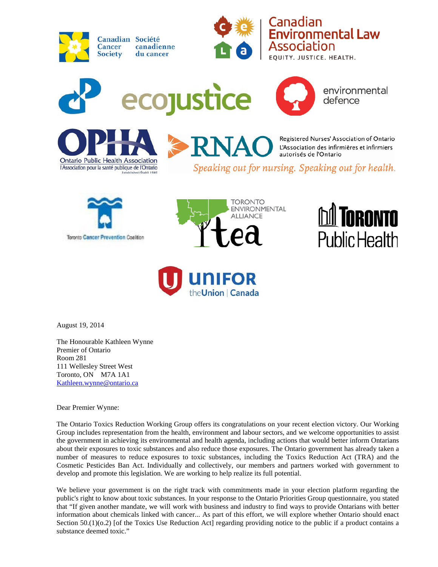



Canadian **Environmental Law** Association

EQUITY, JUSTICE, HEALTH.



environmental defence



Registered Nurses' Association of Ontario L'Association des infirmières et infirmiers autorisés de l'Ontario

Speaking out for nursing. Speaking out for health.









August 19, 2014

The Honourable Kathleen Wynne Premier of Ontario Room 281 111 Wellesley Street West Toronto, ON M7A 1A1 [Kathleen.wynne@ontario.ca](mailto:Kathleen.wynne@ontario.ca)

Dear Premier Wynne:

The Ontario Toxics Reduction Working Group offers its congratulations on your recent election victory. Our Working Group includes representation from the health, environment and labour sectors, and we welcome opportunities to assist the government in achieving its environmental and health agenda, including actions that would better inform Ontarians about their exposures to toxic substances and also reduce those exposures. The Ontario government has already taken a number of measures to reduce exposures to toxic substances, including the Toxics Reduction Act (TRA) and the Cosmetic Pesticides Ban Act. Individually and collectively, our members and partners worked with government to develop and promote this legislation. We are working to help realize its full potential.

We believe your government is on the right track with commitments made in your election platform regarding the public's right to know about toxic substances. In your response to the Ontario Priorities Group questionnaire, you stated that "If given another mandate, we will work with business and industry to find ways to provide Ontarians with better information about chemicals linked with cancer... As part of this effort, we will explore whether Ontario should enact Section 50.(1)( $o.2$ ) [of the Toxics Use Reduction Act] regarding providing notice to the public if a product contains a substance deemed toxic."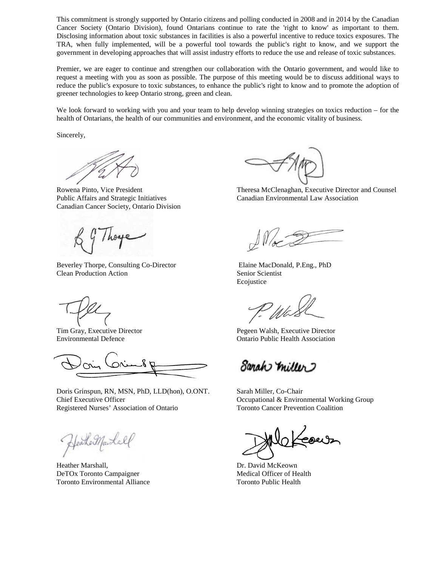This commitment is strongly supported by Ontario citizens and polling conducted in 2008 and in 2014 by the Canadian Cancer Society (Ontario Division), found Ontarians continue to rate the 'right to know' as important to them. Disclosing information about toxic substances in facilities is also a powerful incentive to reduce toxics exposures. The TRA, when fully implemented, will be a powerful tool towards the public's right to know, and we support the government in developing approaches that will assist industry efforts to reduce the use and release of toxic substances.

Premier, we are eager to continue and strengthen our collaboration with the Ontario government, and would like to request a meeting with you as soon as possible. The purpose of this meeting would be to discuss additional ways to reduce the public's exposure to toxic substances, to enhance the public's right to know and to promote the adoption of greener technologies to keep Ontario strong, green and clean.

We look forward to working with you and your team to help develop winning strategies on toxics reduction – for the health of Ontarians, the health of our communities and environment, and the economic vitality of business.

Sincerely,

Public Affairs and Strategic Initiatives Canadian Environmental Law Association Canadian Cancer Society, Ontario Division

Beverley Thorpe, Consulting Co-Director Elaine MacDonald, P.Eng., PhD **Clean Production Action** Senior Scientist Senior Scientist

Doris Grinspun, RN, MSN, PhD, LLD(hon), O.ONT. Sarah Miller, Co-Chair Chief Executive Officer Chief Executive Officer Chief Executive Officer Chief Executive Officer Chief Executive Officer Registered Nurses' Association of Ontario Toronto Cancer Prevention Coalition

HeakerMarshall

Heather Marshall, Dr. David McKeown DeTOx Toronto Campaigner Medical Officer of Health Toronto Environmental Alliance Toronto Public Health

Rowena Pinto, Vice President Theresa McClenaghan, Executive Director and Counsel

Ecojustice

We

Tim Gray, Executive Director Pegeen Walsh, Executive Director Environmental Defence Ontario Public Health Association

Sanah miller 2

Keour